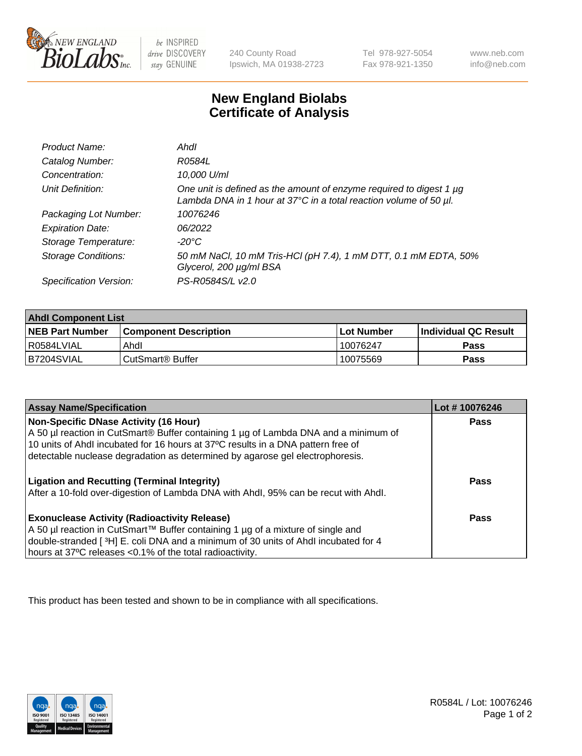

be INSPIRED drive DISCOVERY stay GENUINE

240 County Road Ipswich, MA 01938-2723 Tel 978-927-5054 Fax 978-921-1350

www.neb.com info@neb.com

## **New England Biolabs Certificate of Analysis**

| Product Name:              | Ahdl                                                                                                                                                    |
|----------------------------|---------------------------------------------------------------------------------------------------------------------------------------------------------|
| Catalog Number:            | R0584L                                                                                                                                                  |
| Concentration:             | 10,000 U/ml                                                                                                                                             |
| Unit Definition:           | One unit is defined as the amount of enzyme required to digest 1 µg<br>Lambda DNA in 1 hour at $37^{\circ}$ C in a total reaction volume of 50 $\mu$ l. |
| Packaging Lot Number:      | 10076246                                                                                                                                                |
| <b>Expiration Date:</b>    | 06/2022                                                                                                                                                 |
| Storage Temperature:       | -20°C                                                                                                                                                   |
| <b>Storage Conditions:</b> | 50 mM NaCl, 10 mM Tris-HCl (pH 7.4), 1 mM DTT, 0.1 mM EDTA, 50%<br>Glycerol, 200 µg/ml BSA                                                              |
| Specification Version:     | PS-R0584S/L v2.0                                                                                                                                        |

| <b>Ahdl Component List</b> |                              |              |                             |  |
|----------------------------|------------------------------|--------------|-----------------------------|--|
| <b>NEB Part Number</b>     | <b>Component Description</b> | l Lot Number | <b>Individual QC Result</b> |  |
| I R0584LVIAL               | Ahdl                         | 10076247     | Pass                        |  |
| B7204SVIAL                 | l CutSmart® Buffer           | 10075569     | Pass                        |  |

| <b>Assay Name/Specification</b>                                                     | Lot #10076246 |
|-------------------------------------------------------------------------------------|---------------|
| <b>Non-Specific DNase Activity (16 Hour)</b>                                        | Pass          |
| A 50 µl reaction in CutSmart® Buffer containing 1 µg of Lambda DNA and a minimum of |               |
| 10 units of Ahdl incubated for 16 hours at 37°C results in a DNA pattern free of    |               |
| detectable nuclease degradation as determined by agarose gel electrophoresis.       |               |
|                                                                                     |               |
| <b>Ligation and Recutting (Terminal Integrity)</b>                                  | Pass          |
| After a 10-fold over-digestion of Lambda DNA with Ahdl, 95% can be recut with Ahdl. |               |
| <b>Exonuclease Activity (Radioactivity Release)</b>                                 | Pass          |
| A 50 µl reaction in CutSmart™ Buffer containing 1 µg of a mixture of single and     |               |
|                                                                                     |               |
| double-stranded [3H] E. coli DNA and a minimum of 30 units of Ahdl incubated for 4  |               |
| hours at 37°C releases <0.1% of the total radioactivity.                            |               |

This product has been tested and shown to be in compliance with all specifications.